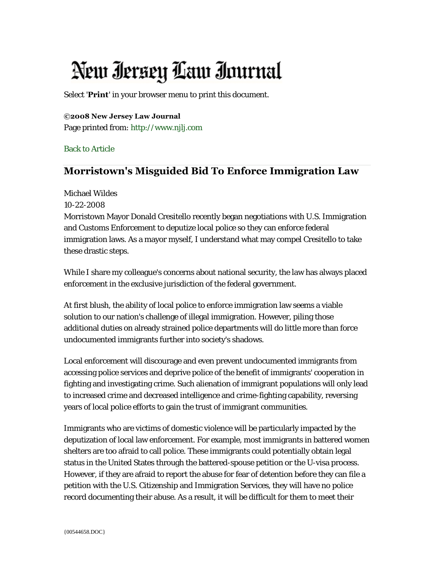## New Iersey Law Inurnal

Select '**Print**' in your browser menu to print this document.

## **©2008 New Jersey Law Journal**

Page printed from: [http://www.njlj.com](http://www.njlj.com/)

[Back to Article](http://www.law.com/jsp/nj/PubArticleNJ.jsp?id=1202425455651)

## **Morristown's Misguided Bid To Enforce Immigration Law**

Michael Wildes 10-22-2008 Morristown Mayor Donald Cresitello recently began negotiations with U.S. Immigration and Customs Enforcement to deputize local police so they can enforce federal immigration laws. As a mayor myself, I understand what may compel Cresitello to take these drastic steps.

While I share my colleague's concerns about national security, the law has always placed enforcement in the exclusive jurisdiction of the federal government.

At first blush, the ability of local police to enforce immigration law seems a viable solution to our nation's challenge of illegal immigration. However, piling those additional duties on already strained police departments will do little more than force undocumented immigrants further into society's shadows.

Local enforcement will discourage and even prevent undocumented immigrants from accessing police services and deprive police of the benefit of immigrants' cooperation in fighting and investigating crime. Such alienation of immigrant populations will only lead to increased crime and decreased intelligence and crime-fighting capability, reversing years of local police efforts to gain the trust of immigrant communities.

Immigrants who are victims of domestic violence will be particularly impacted by the deputization of local law enforcement. For example, most immigrants in battered women shelters are too afraid to call police. These immigrants could potentially obtain legal status in the United States through the battered-spouse petition or the U-visa process. However, if they are afraid to report the abuse for fear of detention before they can file a petition with the U.S. Citizenship and Immigration Services, they will have no police record documenting their abuse. As a result, it will be difficult for them to meet their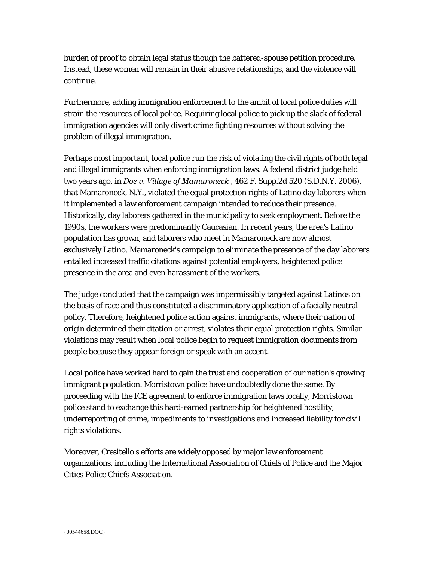burden of proof to obtain legal status though the battered-spouse petition procedure. Instead, these women will remain in their abusive relationships, and the violence will continue.

Furthermore, adding immigration enforcement to the ambit of local police duties will strain the resources of local police. Requiring local police to pick up the slack of federal immigration agencies will only divert crime fighting resources without solving the problem of illegal immigration.

Perhaps most important, local police run the risk of violating the civil rights of both legal and illegal immigrants when enforcing immigration laws. A federal district judge held two years ago, in *Doe v. Village of Mamaroneck* , 462 F. Supp.2d 520 (S.D.N.Y. 2006), that Mamaroneck, N.Y., violated the equal protection rights of Latino day laborers when it implemented a law enforcement campaign intended to reduce their presence. Historically, day laborers gathered in the municipality to seek employment. Before the 1990s, the workers were predominantly Caucasian. In recent years, the area's Latino population has grown, and laborers who meet in Mamaroneck are now almost exclusively Latino. Mamaroneck's campaign to eliminate the presence of the day laborers entailed increased traffic citations against potential employers, heightened police presence in the area and even harassment of the workers.

The judge concluded that the campaign was impermissibly targeted against Latinos on the basis of race and thus constituted a discriminatory application of a facially neutral policy. Therefore, heightened police action against immigrants, where their nation of origin determined their citation or arrest, violates their equal protection rights. Similar violations may result when local police begin to request immigration documents from people because they appear foreign or speak with an accent.

Local police have worked hard to gain the trust and cooperation of our nation's growing immigrant population. Morristown police have undoubtedly done the same. By proceeding with the ICE agreement to enforce immigration laws locally, Morristown police stand to exchange this hard-earned partnership for heightened hostility, underreporting of crime, impediments to investigations and increased liability for civil rights violations.

Moreover, Cresitello's efforts are widely opposed by major law enforcement organizations, including the International Association of Chiefs of Police and the Major Cities Police Chiefs Association.